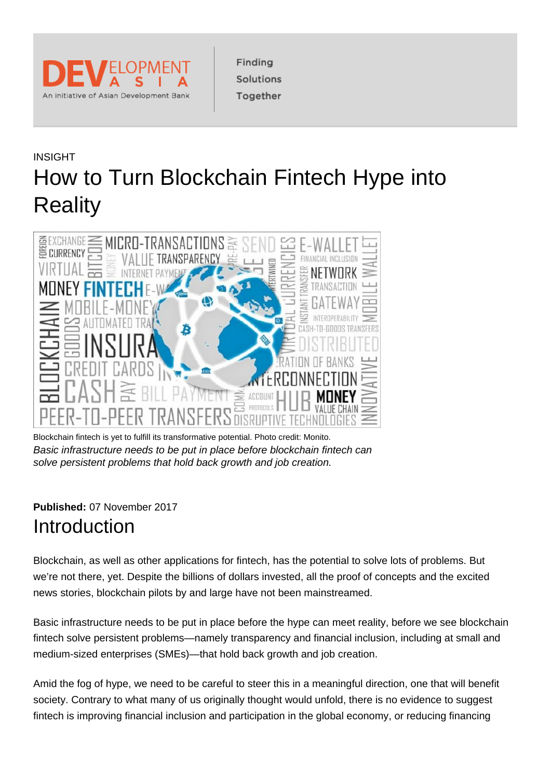

Finding Solutions Together

# INSIGHT How to Turn Blockchain Fintech Hype into **Reality**



Blockchain fintech is yet to fulfill its transformative potential. Photo credit: Monito. Basic infrastructure needs to be put in place before blockchain fintech can solve persistent problems that hold back growth and job creation.

#### **Published:** 07 November 2017 **Introduction**

Blockchain, as well as other applications for fintech, has the potential to solve lots of problems. But we're not there, yet. Despite the billions of dollars invested, all the proof of concepts and the excited news stories, blockchain pilots by and large have not been mainstreamed.

Basic infrastructure needs to be put in place before the hype can meet reality, before we see blockchain fintech solve persistent problems—namely transparency and financial inclusion, including at small and medium-sized enterprises (SMEs)—that hold back growth and job creation.

Amid the fog of hype, we need to be careful to steer this in a meaningful direction, one that will benefit society. Contrary to what many of us originally thought would unfold, there is no evidence to suggest fintech is improving financial inclusion and participation in the global economy, or reducing financing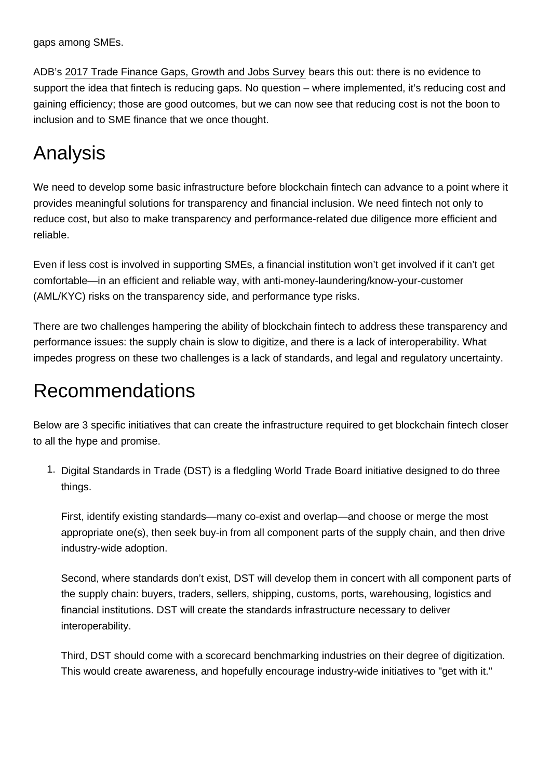gaps among SMEs.

ADB's [2017 Trade Finance Gaps, Growth and Jobs Survey](https://www.adb.org/publications/2017-trade-finance-gaps-jobs-survey) bears this out: there is no evidence to support the idea that fintech is reducing gaps. No question – where implemented, it's reducing cost and gaining efficiency; those are good outcomes, but we can now see that reducing cost is not the boon to inclusion and to SME finance that we once thought.

## Analysis

We need to develop some basic infrastructure before blockchain fintech can advance to a point where it provides meaningful solutions for transparency and financial inclusion. We need fintech not only to reduce cost, but also to make transparency and performance-related due diligence more efficient and reliable.

Even if less cost is involved in supporting SMEs, a financial institution won't get involved if it can't get comfortable—in an efficient and reliable way, with anti-money-laundering/know-your-customer (AML/KYC) risks on the transparency side, and performance type risks.

There are two challenges hampering the ability of blockchain fintech to address these transparency and performance issues: the supply chain is slow to digitize, and there is a lack of interoperability. What impedes progress on these two challenges is a lack of standards, and legal and regulatory uncertainty.

### Recommendations

Below are 3 specific initiatives that can create the infrastructure required to get blockchain fintech closer to all the hype and promise.

1. Digital Standards in Trade (DST) is a fledgling World Trade Board initiative designed to do three things.

First, identify existing standards—many co-exist and overlap—and choose or merge the most appropriate one(s), then seek buy-in from all component parts of the supply chain, and then drive industry-wide adoption.

Second, where standards don't exist, DST will develop them in concert with all component parts of the supply chain: buyers, traders, sellers, shipping, customs, ports, warehousing, logistics and financial institutions. DST will create the standards infrastructure necessary to deliver interoperability.

Third, DST should come with a scorecard benchmarking industries on their degree of digitization. This would create awareness, and hopefully encourage industry-wide initiatives to "get with it."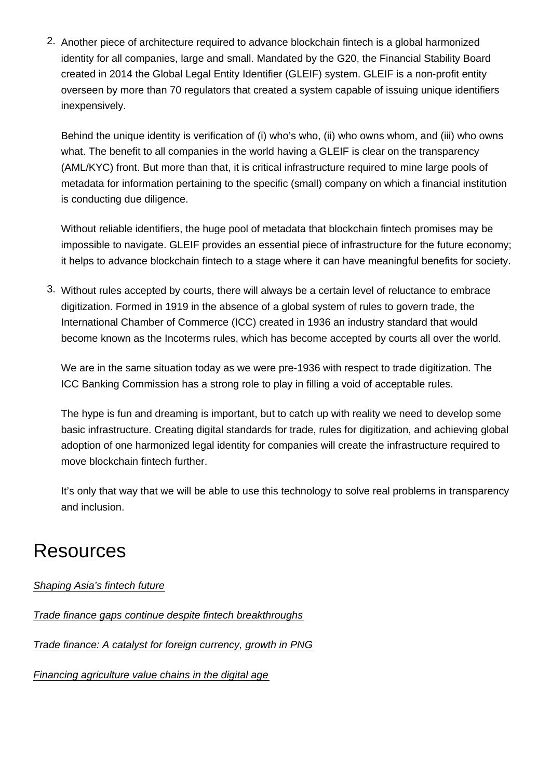2. Another piece of architecture required to advance blockchain fintech is a global harmonized identity for all companies, large and small. Mandated by the G20, the Financial Stability Board created in 2014 the Global Legal Entity Identifier (GLEIF) system. GLEIF is a non-profit entity overseen by more than 70 regulators that created a system capable of issuing unique identifiers inexpensively.

Behind the unique identity is verification of (i) who's who, (ii) who owns whom, and (iii) who owns what. The benefit to all companies in the world having a GLEIF is clear on the transparency (AML/KYC) front. But more than that, it is critical infrastructure required to mine large pools of metadata for information pertaining to the specific (small) company on which a financial institution is conducting due diligence.

Without reliable identifiers, the huge pool of metadata that blockchain fintech promises may be impossible to navigate. GLEIF provides an essential piece of infrastructure for the future economy; it helps to advance blockchain fintech to a stage where it can have meaningful benefits for society.

3. Without rules accepted by courts, there will always be a certain level of reluctance to embrace digitization. Formed in 1919 in the absence of a global system of rules to govern trade, the International Chamber of Commerce (ICC) created in 1936 an industry standard that would become known as the Incoterms rules, which has become accepted by courts all over the world.

We are in the same situation today as we were pre-1936 with respect to trade digitization. The ICC Banking Commission has a strong role to play in filling a void of acceptable rules.

The hype is fun and dreaming is important, but to catch up with reality we need to develop some basic infrastructure. Creating digital standards for trade, rules for digitization, and achieving global adoption of one harmonized legal identity for companies will create the infrastructure required to move blockchain fintech further.

It's only that way that we will be able to use this technology to solve real problems in transparency and inclusion.

### **Resources**

[Shaping Asia's fintech future](https://blogs.adb.org/blog/shaping-asia-s-fintech-future)

[Trade finance gaps continue despite fintech breakthroughs](https://blogs.adb.org/blog/trade-finance-gaps-continue-despite-fintech-breakthroughs)

[Trade finance: A catalyst for foreign currency, growth in PNG](https://blogs.adb.org/blog/trade-finance-catalyst-foreign-currency-growth-png)

[Financing agriculture value chains in the digital age](https://blogs.adb.org/blog/financing-agriculture-value-chains-digital-age)